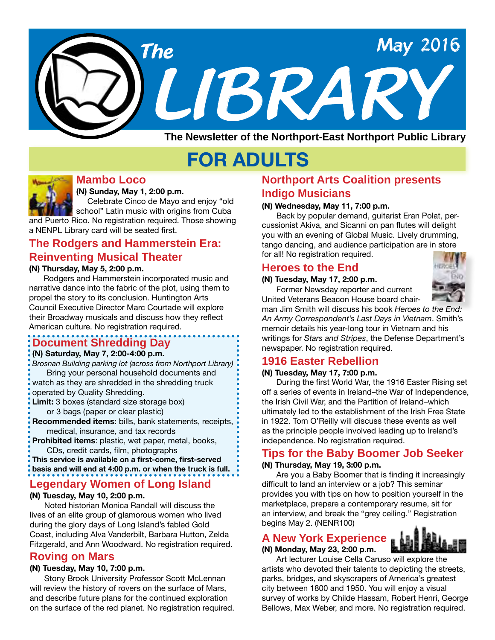

# **FOR ADULTS**



# **Mambo Loco**

**(N) Sunday, May 1, 2:00 p.m.**

 Celebrate Cinco de Mayo and enjoy "old school" Latin music with origins from Cuba and Puerto Rico. No registration required. Those showing a NENPL Library card will be seated first.

# **The Rodgers and Hammerstein Era: Reinventing Musical Theater**

**(N) Thursday, May 5, 2:00 p.m.**

Rodgers and Hammerstein incorporated music and narrative dance into the fabric of the plot, using them to propel the story to its conclusion. Huntington Arts Council Executive Director Marc Courtade will explore their Broadway musicals and discuss how they reflect American culture. No registration required.

# **Document Shredding Day**

#### **(N) Saturday, May 7, 2:00-4:00 p.m.**

*Brosnan Building parking lot (across from Northport Library)* Bring your personal household documents and

- watch as they are shredded in the shredding truck operated by Quality Shredding.
- **Limit:** 3 boxes (standard size storage box)
- or 3 bags (paper or clear plastic)
- **Recommended items:** bills, bank statements, receipts, medical, insurance, and tax records

**Prohibited items**: plastic, wet paper, metal, books, CDs, credit cards, film, photographs

**This service is available on a first-come, first-served basis and will end at 4:00 p.m. or when the truck is full.** 

# **Legendary Women of Long Island**

#### **(N) Tuesday, May 10, 2:00 p.m.**

Noted historian Monica Randall will discuss the lives of an elite group of glamorous women who lived during the glory days of Long Island's fabled Gold Coast, including Alva Vanderbilt, Barbara Hutton, Zelda Fitzgerald, and Ann Woodward. No registration required.

### **Roving on Mars**

#### **(N) Tuesday, May 10, 7:00 p.m.**

Stony Brook University Professor Scott McLennan will review the history of rovers on the surface of Mars, and describe future plans for the continued exploration on the surface of the red planet. No registration required.

# **Northport Arts Coalition presents Indigo Musicians**

#### **(N) Wednesday, May 11, 7:00 p.m.**

Back by popular demand, guitarist Eran Polat, percussionist Akiva, and Sicanni on pan flutes will delight you with an evening of Global Music. Lively drumming, tango dancing, and audience participation are in store for all! No registration required.

## **Heroes to the End**

#### **(N) Tuesday, May 17, 2:00 p.m.**

Former Newsday reporter and current United Veterans Beacon House board chair-



man Jim Smith will discuss his book *Heroes to the End: An Army Correspondent's Last Days in Vietnam*. Smith's memoir details his year-long tour in Vietnam and his writings for *Stars and Stripes*, the Defense Department's newspaper. No registration required.

# **1916 Easter Rebellion**

#### **(N) Tuesday, May 17, 7:00 p.m.**

During the first World War, the 1916 Easter Rising set off a series of events in Ireland–the War of Independence, the Irish Civil War, and the Partition of Ireland–which ultimately led to the establishment of the Irish Free State in 1922. Tom O'Reilly will discuss these events as well as the principle people involved leading up to Ireland's independence. No registration required.

# **Tips for the Baby Boomer Job Seeker**

#### **(N) Thursday, May 19, 3:00 p.m.**

Are you a Baby Boomer that is finding it increasingly difficult to land an interview or a job? This seminar provides you with tips on how to position yourself in the marketplace, prepare a contemporary resume, sit for an interview, and break the "grey ceiling." Registration begins May 2. (NENR100)

# **A New York Experience**

### **(N) Monday, May 23, 2:00 p.m.**



Art lecturer Louise Cella Caruso will explore the artists who devoted their talents to depicting the streets, parks, bridges, and skyscrapers of America's greatest city between 1800 and 1950. You will enjoy a visual survey of works by Childe Hassam, Robert Henri, George Bellows, Max Weber, and more. No registration required.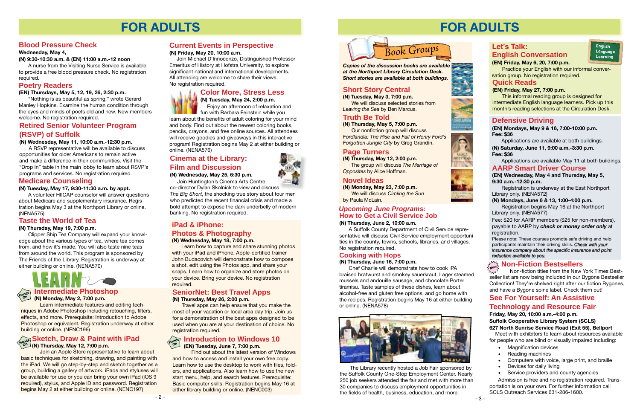# **FOR ADULTS**

### **Medicare Counseling**

**(N) Tuesday, May 17, 9:30-11:30 a.m. by appt.**

A volunteer HIICAP counselor will answer questions about Medicare and supplementary insurance. Registration begins May 3 at the Northport Library or online. (NENA575)

## **Poetry Readers**

**(EN) Thursdays, May 5, 12, 19, 26, 2:30 p.m.**

"Nothing is as beautiful as spring," wrote Gerard Manley Hopkins. Examine the human condition through the eyes and minds of poets old and new. New members welcome. No registration required.

# **Blood Pressure Check**

#### **Wednesday, May 4,**

#### **(N) 9:30-10:30 a.m. & (EN) 11:00 a.m.-12 noon**

A nurse from the Visiting Nurse Service is available to provide a free blood pressure check. No registration required.

# **Current Events in Perspective**

#### **(N) Friday, May 20, 10:00 a.m.**

 Join Michael D'Innocenzo, Distinguished Professor Emeritus of History at Hofstra University, to explore significant national and international developments. All attending are welcome to share their views. No registration required.

# **Taste the World of Tea**

#### **(N) Thursday, May 19, 7:00 p.m.**

Clipper Ship Tea Company will expand your knowledge about the various types of tea, where tea comes from, and how it's made. You will also taste nine teas from around the world. This program is sponsored by The Friends of the Library. Registration is underway at either building or online. (NENA570)



# **Color More, Stress Less**

**(N) Tuesday, May 24, 2:00 p.m.** Enjoy an afternoon of relaxation and fun with Barbara Feinstein while you

learn about the benefits of adult coloring for your mind and body. Find out about the newest coloring books, pencils, crayons, and free online sources. All attendees will receive goodies and giveaways in this interactive program! Registration begins May 2 at either building or online. (NENA576)

# **Retired Senior Volunteer Program (RSVP) of Suffolk**

**(N) Wednesday, May 11, 10:00 a.m.-12:30 p.m.**

A RSVP representative will be available to discuss opportunities for older Americans to remain active and make a difference in their communities. Visit the "Drop In" table in the main lobby to learn about RSVP's programs and services. No registration required.

### **Intermediate Photoshop**

**(N) Monday, May 2, 7:00 p.m.**

Learn intermediate features and editing techniques in Adobe Photoshop including retouching, filters, effects, and more. Prerequisite: Introduction to Adobe Photoshop or equivalent. Registration underway at either building or online. (NENC196)



### **Sketch, Draw & Paint with iPad (N) Thursday, May 12, 7:00 p.m. Hands On**

Join an Apple Store representative to learn about basic techniques for sketching, drawing, and painting with the iPad. We will go step-by-step and sketch together as a group, building a gallery of artwork. iPads and styluses will be available for use or you can bring your own iPad (iOS 9 required), stylus, and Apple ID and password. Registration begins May 2 at either building or online. (NENC197)

# **Cinema at the Library: Film and Discussion**

**(N) Wednesday, May 25, 6:30 p.m.**

**(N) Tuesday, May 3, 7:00 p.m.** We will discuss selected stories from

Join Huntington's Cinema Arts Centre co-director Dylan Skolnick to view and discuss *The Big Short*, the shocking true story about four men who predicted the recent financial crisis and made a bold attempt to expose the dark underbelly of modern banking. No registration required.

#### **iPad & iPhone: Photos & Photography (N) Wednesday, May 18, 7:00 p.m.**

Learn how to capture and share stunning photos with your iPad and iPhone. Apple-certified trainer John Budacovich will demonstrate how to compose a shot, edit using the Photos app, and share your snaps. Learn how to organize and store photos on your device. Bring your device. No registration required.

- **Magnification devices**
- **Reading machines**
- Computers with voice, large print, and braille
- Devices for daily living
- • Service providers and county agencies

#### **SeniorNet: Best Travel Apps (N) Thursday, May 26, 2:00 p.m.**

Travel apps can help ensure that you make the most of your vacation or local area day trip. Join us for a demonstration of the best apps designed to be used when you are at your destination of choice. No registration required.

#### **Introduction to Windows 10 (EN) Tuesday, June 7, 7:00 p.m. Hands On**

Find out about the latest version of Windows and how to access and install your own free copy. Learn how to use the desktop to work with files, folders, and applications. Also learn how to use the new start menu, help, and search features. Prerequisite: Basic computer skills. Registration begins May 16 at either library building or online. (NENC003)

# **FOR ADULTS**

# **Let's Talk: English Conversation**

**(EN) Friday, May 6, 20, 7:00 p.m.**



 Practice your English with our informal conversation group. No registration required.

#### **Quick Reads**

#### **(EN) Friday, May 27, 7:00 p.m.**

This informal reading group is designed for intermediate English language learners. Pick up this month's reading selections at the Circulation Desk.

## **Defensive Driving**

### **AARP Smart Driver Course**

#### **(EN) Wednesday, May 4 and Thursday, May 5, 9:30 a.m.-12:30 p.m.**

Registration is underway at the East Northport Library only. (NENA572)

Please note: These courses promote safe driving and help participants maintain their driving skills. *Check with your insurance company about the specific insurance and point reduction available to you.*

#### **(EN) Mondays, May 9 & 16, 7:00-10:00 p.m. Fee: \$36**

# **(N) Mondays, June 6 & 13, 1:00-4:00 p.m.**

Registration begins May 16 at the Northport Library only. (NENA577)

Applications are available at both buildings. **(N) Saturday, June 11, 9:00 a.m.-3:30 p.m. Fee: \$36**

Fee: \$20 for AARP members (\$25 for non-members), payable to AARP by *check or money order only* at registration.

Applications are available May 11 at both buildings.

# **New Non-Fiction Bestsellers**

 Non-fiction titles from the New York Times Bestseller list are now being included in our Bygone Bestseller Collection! They're shelved right after our fiction Bygones, and have a Bygone spine label. Check them out!

# **Truth Be Told**

**(N) Thursday, May 5, 7:00 p.m.** Our nonfiction group will discuss *Fordlandia: The Rise and Fall of Henry Ford's Forgotten Jungle City* by Greg Grandin.



# **Short Story Central**

*Leaving the Sea* by Ben Marcus.

### **Page Turners**

**(N) Thursday, May 12, 2:00 p.m.** The group will discuss *The Marriage of Opposites* by Alice Hoffman.

### **Novel Ideas**

**(N) Monday, May 23, 7:00 p.m.**

 We will discuss *Circling the Sun* by Paula McLain.

*Copies of the discussion books are available at the Northport Library Circulation Desk. Short stories are available at both buildings.*

# **See For Yourself: An Assistive**

# **Technology and Resource Fair**

**Friday, May 20, 10:00 a.m.-4:00 p.m.**

**Suffolk Cooperative Library System (SCLS) 627 North Sunrise Service Road (Exit 55), Bellport**

 Meet with exhibitors to learn about resources available for people who are blind or visually impaired including:

 Admission is free and no registration required. Transportation is on your own. For further information call SCLS Outreach Services 631-286-1600.

 $-3 -$ 

 The Library recently hosted a Job Fair sponsored by the Suffolk County One-Stop Employment Center. Nearly 250 job seekers attended the fair and met with more than 30 companies to discuss employment opportunities in the fields of health, business, education, and more.











### **Cooking with Hops**

#### **(N) Thursday, June 16, 7:00 p.m.**

Chef Charlie will demonstrate how to cook IPA braised bratwurst and smokey sauerkraut, Lager steamed mussels and andouille sausage, and chocolate Porter tiramisu. Taste samples of these dishes, learn about alcohol-free and gluten free options, and go home with the recipes. Registration begins May 16 at either building or online. (NENA578)



#### **(N) Thursday, June 2, 10:00 a.m.**

# **How to Get a Civil Service Job** *Upcoming June Programs:*

A Suffolk County Department of Civil Service representative will discuss Civil Service employment opportunities in the county, towns, schools, libraries, and villages. No registration required.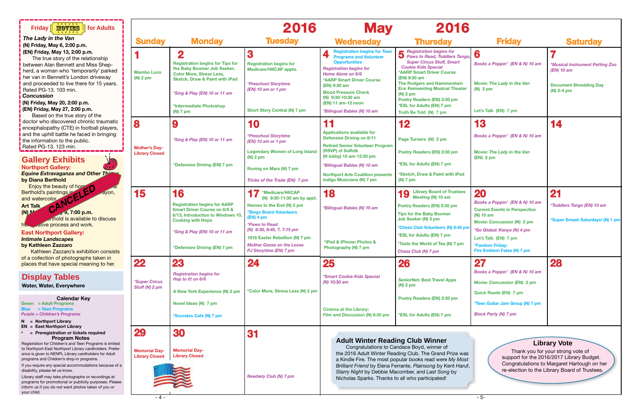| * * * * * *<br><b>MOVIES</b><br>for Adults<br><b>Friday</b><br>* * * * * *                                                                                                                                                                                                                                                                                                                                                                                                                                                                                                                                      |                                                              |                                                                                                                                                                                                                                            | 2016                                                                                                                                                                                                                                                                                              | <b>May</b>                                                                                                                                                                                                                                                                                                              | 2016                                                                                                                                                                                                                                                                                                                                                                |                                                                                                                                                                                                                                |                                                                                                                                                                                                       |
|-----------------------------------------------------------------------------------------------------------------------------------------------------------------------------------------------------------------------------------------------------------------------------------------------------------------------------------------------------------------------------------------------------------------------------------------------------------------------------------------------------------------------------------------------------------------------------------------------------------------|--------------------------------------------------------------|--------------------------------------------------------------------------------------------------------------------------------------------------------------------------------------------------------------------------------------------|---------------------------------------------------------------------------------------------------------------------------------------------------------------------------------------------------------------------------------------------------------------------------------------------------|-------------------------------------------------------------------------------------------------------------------------------------------------------------------------------------------------------------------------------------------------------------------------------------------------------------------------|---------------------------------------------------------------------------------------------------------------------------------------------------------------------------------------------------------------------------------------------------------------------------------------------------------------------------------------------------------------------|--------------------------------------------------------------------------------------------------------------------------------------------------------------------------------------------------------------------------------|-------------------------------------------------------------------------------------------------------------------------------------------------------------------------------------------------------|
| The Lady in the Van<br>(N) Friday, May 6, 2:00 p.m.                                                                                                                                                                                                                                                                                                                                                                                                                                                                                                                                                             | <b>Sunday</b>                                                | <b>Monday</b>                                                                                                                                                                                                                              | <b>Tuesday</b>                                                                                                                                                                                                                                                                                    | <b>Wednesday</b>                                                                                                                                                                                                                                                                                                        | <b>Thursday</b>                                                                                                                                                                                                                                                                                                                                                     | <b>Friday</b>                                                                                                                                                                                                                  | <b>Saturday</b>                                                                                                                                                                                       |
| (EN) Friday, May 13, 2:00 p.m.<br>The true story of the relationship<br>between Alan Bennett and Miss Shep-<br>herd, a woman who 'temporarily' parked<br>her van in Bennett's London driveway<br>and proceeded to live there for 15 years.<br>Rated PG-13. 103 min.<br><b>Concussion</b><br>(N) Friday, May 20, 2:00 p.m.<br>(EN) Friday, May 27, 2:00 p.m.<br>Based on the true story of the                                                                                                                                                                                                                   | <b>Mambo Loco</b><br>$(N)$ 2 pm                              | $\bf{2}$<br><b>Registration begins for Tips for</b><br>the Baby Boomer Job Seeker,<br><b>Color More, Stress Less,</b><br><b>Sketch, Draw &amp; Paint with iPad</b><br>*Sing & Play (EN) 10 or 11 am<br>*Intermediate Photoshop<br>(N) 7 pm | 3<br><b>Registration begins for</b><br><b>Medicare/HIICAP appts.</b><br><i><b>*Preschool Storytime</b></i><br>(EN) 10 am or 1 pm<br><b>Short Story Central (N) 7 pm</b>                                                                                                                           | <b>Registration begins for Teen</b><br><b>Programs and Volunteer</b><br><b>Opportunities</b><br><b>Registration begins for</b><br><b>Home Alone on 6/6</b><br><b>*AARP Smart Driver Course</b><br>(EN) 9:30 am<br><b>Blood Pressure Check</b><br>(N) 9:30-10:30 am<br>(EN) 11 am-12 noon<br>*Bilingual Babies (N) 10 am | Registration begins for<br>Paws to Read, Toddlers Tango,<br><b>Super Circus Stuff, Smart</b><br><b>Cookie Kids Special</b><br><b>*AARP Smart Driver Course</b><br>(EN) 9:30 am<br><b>The Rodgers and Hammerstein</b><br><b>Era: Reinventing Musical Theater</b><br>$(N)$ 2 pm<br>Poetry Readers (EN) 2:30 pm<br>*ESL for Adults (EN) 7 pm<br>Truth Be Told (N) 7 pm | 6<br>Books a Poppin' (EN & N) 10 am<br>Movie: The Lady in the Van<br>$(N)$ 2 pm<br>Let's Talk (EN) 7 pm                                                                                                                        | *Musical Instrument Petting Zoo<br>(EN) 10 am<br><b>Document Shredding Day</b><br>$(N)$ 2-4 pm                                                                                                        |
| doctor who discovered chronic traumatic<br>encephalopathy (CTE) in football players,<br>and the uphill battle he faced in bringing<br>the information to the public.<br>Rated PG-13. 123 min.<br><b>Gallery Exhibits</b><br><b>Northport Gallery:</b><br><b>Equine Extravaganza and Other This</b><br>by Diana Berthold<br>Enjoy the beauty of horse                                                                                                                                                                                                                                                            | 8<br><b>Mother's Day-</b><br><b>Library Closed</b>           | 9<br>*Sing & Play (EN) 10 or 11 am<br>*Defensive Driving (EN) 7 pm                                                                                                                                                                         | 10<br><i><b>*Preschool Storytime</b></i><br>(EN) 10 am or 1 pm<br><b>Legendary Women of Long Island</b><br>$(N)$ 2 pm<br>Roving on Mars (N) 7 pm<br>Tricks of the Trade (EN) 7 pm                                                                                                                 | 11<br><b>Applications available for</b><br><b>Defensive Driving on 6/11</b><br><b>Retired Senior Volunteer Program</b><br>(RSVP) of Suffolk<br>(N lobby) 10 am-12:30 pm<br>*Bilingual Babies (N) 10 am<br><b>Northport Arts Coalition presents</b><br>Indigo Musicians (N) 7 pm                                         | 12<br>Page Turners (N) 2 pm<br>Poetry Readers (EN) 2:30 pm<br>*ESL for Adults (EN) 7 pm<br>*Sketch, Draw & Paint with iPad<br>$(N)$ 7 pm                                                                                                                                                                                                                            | 13<br>Books a Poppin' (EN & N) 10 am<br>Movie: The Lady in the Van<br>$(EN)$ 2 pm                                                                                                                                              | 14                                                                                                                                                                                                    |
| $\epsilon$<br><b>Berthold's paintings in</b><br><b>Ayon</b> ,<br>and watercolor<br>CANCE<br><b>Art Talk</b><br>$(N)$ <sup>M</sup><br>9, 7:00 p.m.<br>rthold is available to discuss<br>ative process and work.<br><b>The Second Contract of Second</b><br><b>East Northport Gallery:</b><br><b>Intimate Landscapes</b><br>by Kathleen Zazzaro<br>Kathleen Zazzaro's exhibition consists                                                                                                                                                                                                                         | 15                                                           | 16<br><b>Registration begins for AARP</b><br><b>Smart Driver Course on 6/6 &amp;</b><br>6/13, Introduction to Windows 10<br><b>Cooking with Hops</b><br>*Sing & Play (EN) 10 or 11 am<br>*Defensive Driving (EN) 7 pm                      | *Medicare/HIICAP<br>(N) 9:30-11:30 am by appt.<br>Heroes to the End (N) 2 pm<br><b>*Bingo Board Volunteers</b><br>$(EN)$ 4 pm<br><i><b>*Paws to Read</b></i><br>(N) 6:30, 6:45, 7, 7:15 pm<br>1916 Easter Rebellion (N) 7 pm<br><b>Mother Goose on the Loose</b><br><b>PJ Storytime (EN) 7 pm</b> | 18<br>*Bilingual Babies (N) 10 am<br>*iPad & iPhone: Photos &<br>Photography (N) 7 pm                                                                                                                                                                                                                                   | <b>Library Board of Trustees</b><br>10<br>Meeting (N) 10 am<br>Poetry Readers (EN) 2:30 pm<br><b>Tips for the Baby Boomer</b><br>Job Seeker (N) 3 pm<br>*Chess Club Volunteers (N) 6:45 pm<br>*ESL for Adults (EN) 7 pm<br>*Taste the World of Tea (N) 7 pm<br><b>Chess Club (N) 7 pm</b>                                                                           | 20<br>Books a Poppin' (EN & N) 10 am<br><b>Current Events in Perspective</b><br>(N) 10 am<br>Movie: Concussion (N) 2 pm<br>*Go Global: Kenya (N) 4 pm<br>Let's Talk (EN) 7 pm<br>*Fandom Friday:<br>Fire Emblem Fates (N) 7 pm | 21<br><i><b>*Toddlers Tango (EN) 10 am</b></i><br>*Super Smash Saturdays! (N) 1 pm                                                                                                                    |
| of a collection of photographs taken in<br>places that have special meaning to her.<br><b>Display Tables</b><br>Water, Water, Everywhere<br><b>Calendar Key</b><br>Green = Adult Programs<br><b>Blue = Teen Programs</b><br><b>Purple = Children's Programs</b><br>$N =$ Northport Library                                                                                                                                                                                                                                                                                                                      | 22<br><i><b>*Super Circus</b></i><br>Stuff (N) 2 pm          | 23<br><b>Registration begins for</b><br>Hop to It! on 6/6<br>A New York Experience (N) 2 pm<br>Novel Ideas (N) 7 pm<br>*Socrates Cafe (N) 7 pm                                                                                             | 24<br>*Color More, Stress Less (N) 2 pm                                                                                                                                                                                                                                                           | <b>25</b><br>*Smart Cookie Kids Special<br>(N) 10:30 am<br><b>Cinema at the Library:</b><br>Film and Discussion (N) 6:30 pm                                                                                                                                                                                             | <b>26</b><br><b>SeniorNet: Best Travel Apps</b><br>$(N)$ 2 pm<br>Poetry Readers (EN) 2:30 pm<br>*ESL for Adults (EN) 7 pm                                                                                                                                                                                                                                           | 27<br>Books a Poppin' (EN & N) 10 am<br><b>Movie: Concussion (EN) 2 pm</b><br><b>Quick Reads (EN) 7 pm</b><br>*Teen Guitar Jam Group (N) 7 pm<br><b>Block Party (N) 7 pm</b>                                                   | 28                                                                                                                                                                                                    |
| $EN = East Northport Library$<br>= Preregistration or tickets required<br><b>Program Notes</b><br>Registration for Children's and Teen Programs is limited<br>to Northport-East Northport Library cardholders. Prefer-<br>ence is given to NENPL Library cardholders for Adult<br>programs and Children's drop-in programs.<br>If you require any special accommodations because of a<br>disability, please let us know.<br>Library staff may take photographs or recordings at<br>programs for promotional or publicity purposes. Please<br>inform us if you do not want photos taken of you or<br>your child. | 29<br><b>Memorial Day-</b><br><b>Library Closed</b><br>$-4-$ | 30<br><b>Memorial Day-</b><br><b>Library Closed</b>                                                                                                                                                                                        | 31<br><b>Newbery Club (N) 7 pm</b>                                                                                                                                                                                                                                                                | <b>Adult Winter Reading Club Winner</b><br>Nicholas Sparks. Thanks to all who participated!                                                                                                                                                                                                                             | Congratulations to Candace Boyd, winner of<br>the 2016 Adult Winter Reading Club. The Grand Prize was<br>a Kindle Fire. The most popular books read were My Most<br>Brilliant Friend by Elena Ferrante, Plainsong by Kent Haruf,<br>Starry Night by Debbie Macomber, and Last Song by                                                                               | $-5-$                                                                                                                                                                                                                          | <b>Library Vote</b><br>Thank you for your strong vote of<br>support for the 2016/2017 Library Budget.<br>Congratulations to Margaret Hartough on her<br>re-election to the Library Board of Trustees. |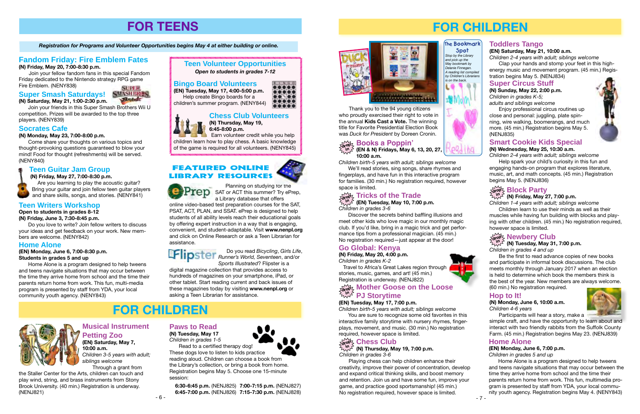- 6 -



# **FOR TEENS**

*Registration for Programs and Volunteer Opportunities begins May 4 at either building or online.*

# **Fandom Friday: Fire Emblem Fates**

**(N) Friday, May 20, 7:00-8:30 p.m.**

Join your fellow fandom fans in this special Fandom Friday dedicated to the Nintendo strategy RPG game Fire Emblem. (NENY838)

#### **Home Alone**

**(EN) Monday, June 6, 7:00-8:30 p.m. Students in grades 5 and up**

Home Alone is a program designed to help tweens and teens navigate situations that may occur between the time they arrive home from school and the time their parents return home from work. This fun, multi-media program is presented by staff from YDA, your local community youth agency. (NENY843)

# **Teen Volunteer Opportunities**

*Open to students in grades 7-12*

# **Chess Club Volunteers**



**(N) Thursday, May 19, 6:45-8:00 p.m.** Earn volunteer credit while you help

children learn how to play chess. A basic knowledge of the game is required for all volunteers. (NENY845)

### **Bingo Board Volunteers**

**(EN) Tuesday, May 17, 4:00-5:00 p.m.** Help create Bingo boards for a children's summer program. (NENY844)



### **Teen Guitar Jam Group**

**(N) Friday, May 27, 7:00-8:30 p.m.**

Are you learning to play the acoustic guitar? Bring your guitar and join fellow teen guitar players and share skills, songs, and stories. (NENY841)

#### **Socrates Cafe**

**(N) Monday, May 23, 7:00-8:00 p.m.**

**Planning on studying for the**  $TCD$  SAT or ACT this summer? Try ePrep, a Library database that offers

Come share your thoughts on various topics and thought-provoking questions guaranteed to blow your mind! Food for thought (refreshments) will be served. (NENY840)

#### **Super Smash Saturdays! (N) Saturday, May 21, 1:00-2:30 p.m.**



Join your friends in this Super Smash Brothers Wii U competition. Prizes will be awarded to the top three players. (NENY839)

# **Teen Writers Workshop**

**Open to students in grades 8-12**

**(N) Friday, June 3, 7:30-8:45 p.m.**

Do you love to write? Join fellow writers to discuss your ideas and get feedback on your work. New members are welcome. (NENY842)

#### **Paws to Read (N) Tuesday, May 17**

*Children in grades 1-5* Read to a certified therapy dog!

These dogs love to listen to kids practice reading aloud. Children can choose a book from the Library's collection, or bring a book from home. Registration begins May 5. Choose one 15-minute session:

 **6:30-6:45 p.m.** (NENJ825) **7:00-7:15 p.m.** (NENJ827) **6:45-7:00 p.m.** (NENJ826) **7:15-7:30 p.m.** (NENJ828)

#### $\sqrt[n]{\Lambda}$  (N) Thursday, May 19, 7:00 p.m. *Children in grades 3-6*

#### **Musical Instrument Petting Zoo (EN) Saturday, May 7, 10:00 a.m.**

*Children 3-5 years with adult; siblings welcome* Through a grant from

the Staller Center for the Arts, children can touch and play wind, string, and brass instruments from Stony Brook University. (40 min.) Registration is underway. (NENJ821)

#### $\sqrt[m]{\ }$  (N) Friday, May 27, 7:00 p.m. *Children 1-4 years with adult; siblings welcome*

# **FOR CHILDREN**



online video-based test preparation courses for the SAT, PSAT, ACT, PLAN, and SSAT. ePrep is designed to help students of all ability levels reach their educational goals by offering expert instruction in a way that is engaging, convenient, and student-adaptable. Visit **www.nenpl.org**  and click on Online Research or ask a Teen Librarian for assistance.

Do you read *Bicycling*, *Girls Life*, *Runner's World, Seventeen*, and/or *Sports Illustrated*? Flipster is a

digital magazine collection that provides access to hundreds of magazines on your smartphone, iPad, or other tablet. Start reading current and back issues of these magazines today by visiting **www.nenpl.org** or asking a Teen Librarian for assistance.

# Featured Online Library Resources



# **FOR CHILDREN**



# **Smart Cookie Kids Special**

#### **(N) Wednesday, May 25, 10:30 a.m.**

*Children 2-4 years with adult; siblings welcome* Help spark your child's curiosity in this fun and engaging hands-on program that explores literature, music, art, and math concepts. (45 min.) Registration begins May 5. (NENJ836)

#### **Super Circus Stuff**

**(N) Sunday, May 22, 2:00 p.m.** *Children in grades K-5;* 

*adults and siblings welcome*

Enjoy professional circus routines up close and personal: juggling, plate spinning, wire walking, boomerangs, and much more. (45 min.) Registration begins May 5. (NENJ835)



## **Toddlers Tango**

#### **(EN) Saturday, May 21, 10:00 a.m.**

*Children 2-4 years with adult; siblings welcome* Clap your hands and stomp your feet in this highenergy music and movement program. (45 min.) Registration begins May 5. (NENJ834)

# **Books a Poppin'**

*Children birth-5 years with adult; siblings welcome*

We'll read stories, sing songs, share rhymes and fingerplays, and have fun in this interactive program for families. (30 min.) No registration required, however space is limited.

Playing chess can help children enhance their creativity, improve their power of concentration, develop and expand critical thinking skills, and boost memory and retention. Join us and have some fun, improve your game, and practice good sportsmanship! (45 min.) No registration required, however space is limited.



Children learn to use their minds as well as their muscles while having fun building with blocks and playing with other children. (45 min.) No registration required, however space is limited.

# $\frac{1}{\alpha \cos \beta}$  **Newbery Club**

### $\sqrt[M]{n}$  (N) Tuesday, May 31, 7:00 p.m.

*Children in grades 4 and up*

**(EN & N) Fridays, May 6, 13, 20, 27, 10:00 a.m. drop in**

> Be the first to read advance copies of new books and participate in informal book discussions. The club meets monthly through January 2017 when an election is held to determine which book the members think is the best of the year. New members are always welcome. (60 min.) No registration required.

# **Go Global: Kenya**

**(N) Friday, May 20, 4:00 p.m.**

*Children in grades K-2*

 Travel to Africa's Great Lakes region through stories, music, games, and art! (45 min.) Registration is underway. (NENJ822)

#### **Home Alone**

#### **(EN) Monday, June 6, 7:00 p.m.**

*Children in grades 5 and up*

Home Alone is a program designed to help tweens and teens navigate situations that may occur between the time they arrive home from school and the time their parents return home from work. This fun, multimedia program is presented by staff from YDA, your local community youth agency. Registration begins May 4. (NENY843)



*Stop by the Library and pick up the May bookmark by Delanie Finnegan. A reading list compiled by Children's Librarians is on the back.* **Spot**



**HENGE** 

# **The Bookmark**

#### **Hop to It!**

#### **(N) Monday, June 6, 10:00 a.m.** *Children 4-6 years*

Participants will hear a story, make a



simple craft, and have the opportunity to learn about and interact with two friendly rabbits from the Suffolk County Farm. (45 min.) Registration begins May 23. (NENJ839)

**(EN) Tuesday, May 10, 7:00 p.m.** *Children in grades 3-6*

#### **Tricks of the Trade drop in**

Discover the secrets behind baffling illusions and meet other kids who love magic in our monthly magic club. If you'd like, bring in a magic trick and get performance tips from a professional magician. (45 min.) No registration required—just appear at the door!

#### **(EN) Tuesday, May 17, 7:00 p.m.**

*Children birth-5 years with adult; siblings welcome*

#### **Mother Goose on the Loose PJ Storytime drop in**

You are sure to recognize some old favorites in this interactive family storytime with nursery rhymes, fingerplays, movement, and music. (30 min.) No registration required, however space is limited.

# $\frac{\sum\limits_{\text{dro}}\sum\limits_{\text{r}}\sum\limits_{\text{dro}}\sum\limits_{\text{dro}}\sum\limits_{\text{dro}}\sum\limits_{\text{dro}}\sum\limits_{\text{dro}}\sum\limits_{\text{dro}}\sum\limits_{\text{dro}}\sum\limits_{\text{dro}}\sum\limits_{\text{dro}}\sum\limits_{\text{dro}}\sum\limits_{\text{dro}}\sum\limits_{\text{dro}}\sum\limits_{\text{dro}}\sum\limits_{\text{dro}}\sum\limits_{\text{dro}}\sum\limits_{\text{dro}}\sum\limits_{\text{dro}}\sum\limits_{\text{dro$

 Thank you to the 94 young citizens who proudly exercised their right to vote in the annual **Kids Cast a Vote.** The winning title for Favorite Presidential Election Book was *Duck for President* by Doreen Cronin.